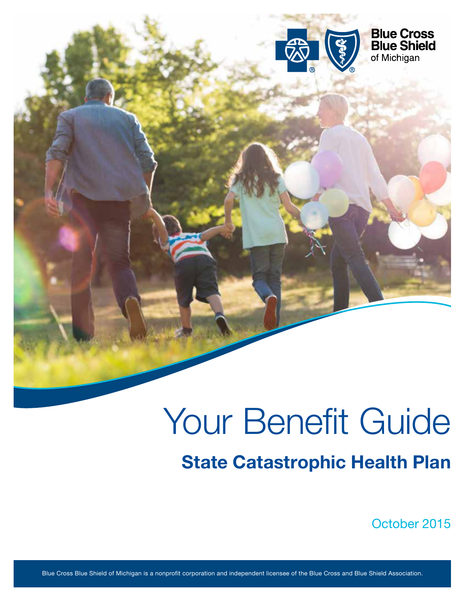

# Your Benefit Guide State Catastrophic Health Plan

October 2015

Blue Cross Blue Shield of Michigan is a nonprofit corporation and independent licensee of the Blue Cross and Blue Shield Association.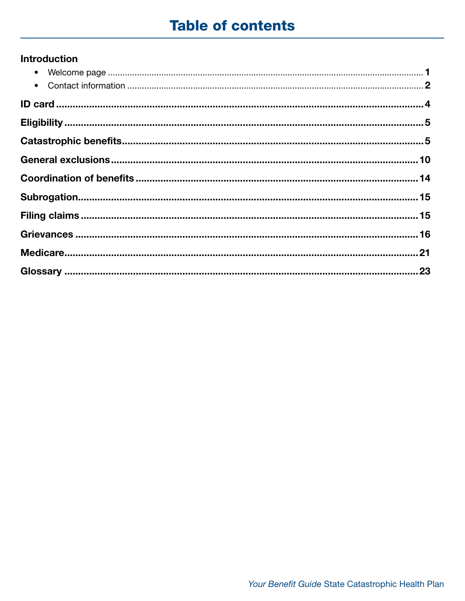## **Table of contents**

### **Introduction**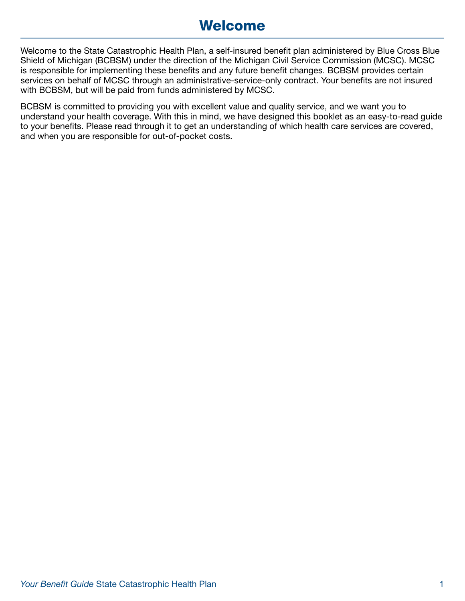## Welcome

Welcome to the State Catastrophic Health Plan, a self-insured benefit plan administered by Blue Cross Blue Shield of Michigan (BCBSM) under the direction of the Michigan Civil Service Commission (MCSC). MCSC is responsible for implementing these benefits and any future benefit changes. BCBSM provides certain services on behalf of MCSC through an administrative-service-only contract. Your benefits are not insured with BCBSM, but will be paid from funds administered by MCSC.

BCBSM is committed to providing you with excellent value and quality service, and we want you to understand your health coverage. With this in mind, we have designed this booklet as an easy-to-read guide to your benefits. Please read through it to get an understanding of which health care services are covered, and when you are responsible for out-of-pocket costs.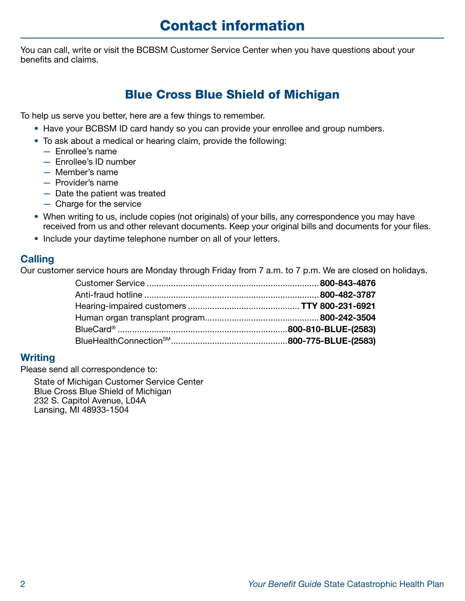## Contact information

You can call, write or visit the BCBSM Customer Service Center when you have questions about your benefits and claims.

## Blue Cross Blue Shield of Michigan

To help us serve you better, here are a few things to remember.

- Have your BCBSM ID card handy so you can provide your enrollee and group numbers.
- To ask about a medical or hearing claim, provide the following:
	- Enrollee's name
	- Enrollee's ID number
	- Member's name
	- Provider's name
	- Date the patient was treated
	- Charge for the service
- When writing to us, include copies (not originals) of your bills, any correspondence you may have received from us and other relevant documents. Keep your original bills and documents for your files.
- Include your daytime telephone number on all of your letters.

### **Calling**

Our customer service hours are Monday through Friday from 7 a.m. to 7 p.m. We are closed on holidays.

#### **Writing**

Please send all correspondence to:

State of Michigan Customer Service Center Blue Cross Blue Shield of Michigan 232 S. Capitol Avenue, L04A Lansing, MI 48933-1504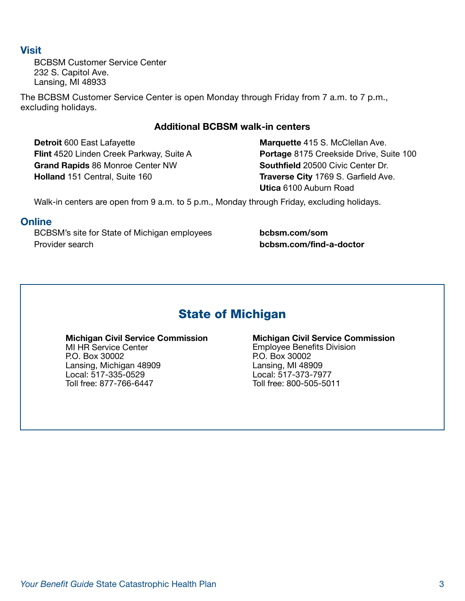#### **Visit**

BCBSM Customer Service Center 232 S. Capitol Ave. Lansing, MI 48933

The BCBSM Customer Service Center is open Monday through Friday from 7 a.m. to 7 p.m., excluding holidays.

#### Additional BCBSM walk-in centers

**Detroit 600 East Lafayette Marquette 415 S. McClellan Ave.** Grand Rapids 86 Monroe Center NW Southfield 20500 Civic Center Dr. Holland 151 Central, Suite 160 **Traverse City** 1769 S. Garfield Ave.

Flint 4520 Linden Creek Parkway, Suite A **Portage 8175 Creekside Drive, Suite 100** Utica 6100 Auburn Road

Walk-in centers are open from 9 a.m. to 5 p.m., Monday through Friday, excluding holidays.

#### **Online**

BCBSM's site for State of Michigan employees **bcbsm.com/som** Provider search [bcbsm.com/find-a-doctor](https://bcbsm.com/find-a-doctor) 

## State of Michigan

MI HR Service Center **Employee Benefits Division**<br>
P.O. Box 30002<br>
P.O. Box 30002 Lansing, Michigan 48909<br>Local: 517-335-0529 Local: 517-335-0529 Local: 517-373-7977

## **Michigan Civil Service Commission**<br>MI HR Service Center **Michigan Civil Service Commission**<br>Employee Benefits Division P.O. Box 30002<br>Lansing, MI 48909 Toll free: 800-505-5011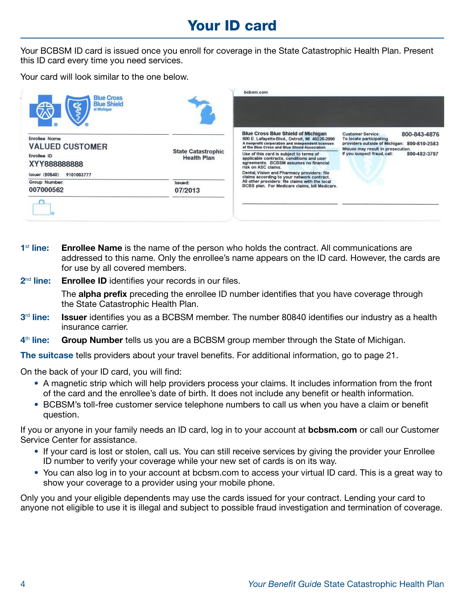## Your ID card

Your BCBSM ID card is issued once you enroll for coverage in the State Catastrophic Health Plan. Present this ID card every time you need services.

Your card will look similar to the one below.



- $1<sup>st</sup>$  line: Enrollee Name is the name of the person who holds the contract. All communications are addressed to this name. Only the enrollee's name appears on the ID card. However, the cards are for use by all covered members.
- 2<sup>nd</sup> line: Enrollee ID identifies your records in our files.

The **alpha prefix** preceding the enrollee ID number identifies that you have coverage through the State Catastrophic Health Plan.

- 3<sup>rd</sup> line: Issuer identifies you as a BCBSM member. The number 80840 identifies our industry as a health insurance carrier.
- 4<sup>th</sup> line: Group Number tells us you are a BCBSM group member through the State of Michigan.

The suitcase tells providers about your travel benefits. For additional information, go to page 21.

On the back of your ID card, you will find:

- A magnetic strip which will help providers process your claims. It includes information from the front of the card and the enrollee's date of birth. It does not include any benefit or health information.
- BCBSM's toll-free customer service telephone numbers to call us when you have a claim or benefit question.

If you or anyone in your family needs an ID card, log in to your account at **[bcbsm.com](https://bcbsm.com)** or call our Customer Service Center for assistance.

- If your card is lost or stolen, call us. You can still receive services by giving the provider your Enrollee ID number to verify your coverage while your new set of cards is on its way.
- You can also log in to your account at [bcbsm.com](https://bcbsm.com) to access your virtual ID card. This is a great way to show your coverage to a provider using your mobile phone.

Only you and your eligible dependents may use the cards issued for your contract. Lending your card to anyone not eligible to use it is illegal and subject to possible fraud investigation and termination of coverage.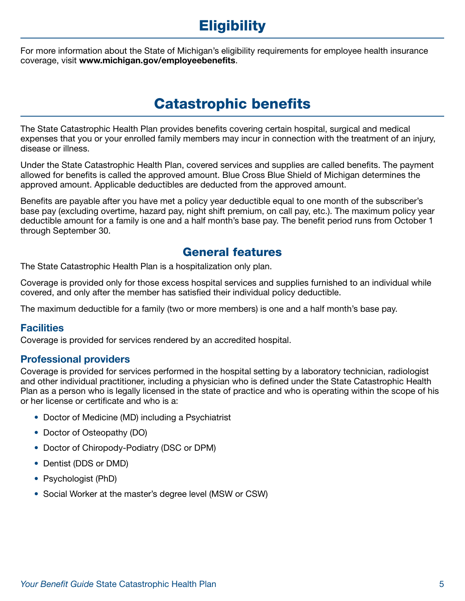## **Eligibility**

For more information about the State of Michigan's eligibility requirements for employee health insurance coverage, visit <www.michigan.gov/employeebenefits>.

## Catastrophic benefits

The State Catastrophic Health Plan provides benefits covering certain hospital, surgical and medical expenses that you or your enrolled family members may incur in connection with the treatment of an injury, disease or illness.

Under the State Catastrophic Health Plan, covered services and supplies are called benefits. The payment allowed for benefits is called the approved amount. Blue Cross Blue Shield of Michigan determines the approved amount. Applicable deductibles are deducted from the approved amount.

Benefits are payable after you have met a policy year deductible equal to one month of the subscriber's base pay (excluding overtime, hazard pay, night shift premium, on call pay, etc.). The maximum policy year deductible amount for a family is one and a half month's base pay. The benefit period runs from October 1 through September 30.

### General features

The State Catastrophic Health Plan is a hospitalization only plan.

Coverage is provided only for those excess hospital services and supplies furnished to an individual while covered, and only after the member has satisfied their individual policy deductible.

The maximum deductible for a family (two or more members) is one and a half month's base pay.

#### **Facilities**

Coverage is provided for services rendered by an accredited hospital.

#### Professional providers

Coverage is provided for services performed in the hospital setting by a laboratory technician, radiologist and other individual practitioner, including a physician who is defined under the State Catastrophic Health Plan as a person who is legally licensed in the state of practice and who is operating within the scope of his or her license or certificate and who is a:

- Doctor of Medicine (MD) including a Psychiatrist
- Doctor of Osteopathy (DO)
- Doctor of Chiropody-Podiatry (DSC or DPM)
- Dentist (DDS or DMD)
- Psychologist (PhD)
- Social Worker at the master's degree level (MSW or CSW)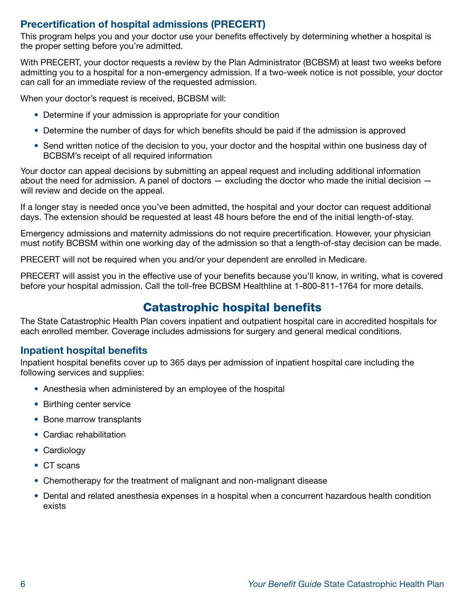### Precertification of hospital admissions (PRECERT)

This program helps you and your doctor use your benefits effectively by determining whether a hospital is the proper setting before you're admitted.

With PRECERT, your doctor requests a review by the Plan Administrator (BCBSM) at least two weeks before admitting you to a hospital for a non-emergency admission. If a two-week notice is not possible, your doctor can call for an immediate review of the requested admission.

When your doctor's request is received, BCBSM will:

- Determine if your admission is appropriate for your condition
- Determine the number of days for which benefits should be paid if the admission is approved
- Send written notice of the decision to you, your doctor and the hospital within one business day of BCBSM's receipt of all required information

Your doctor can appeal decisions by submitting an appeal request and including additional information about the need for admission. A panel of doctors  $-$  excluding the doctor who made the initial decision  $$ will review and decide on the appeal.

If a longer stay is needed once you've been admitted, the hospital and your doctor can request additional days. The extension should be requested at least 48 hours before the end of the initial length-of-stay.

Emergency admissions and maternity admissions do not require precertification. However, your physician must notify BCBSM within one working day of the admission so that a length-of-stay decision can be made.

PRECERT will not be required when you and/or your dependent are enrolled in Medicare.

PRECERT will assist you in the effective use of your benefits because you'll know, in writing, what is covered before your hospital admission. Call the toll-free BCBSM Healthline at 1-800-811-1764 for more details.

## Catastrophic hospital benefits

The State Catastrophic Health Plan covers inpatient and outpatient hospital care in accredited hospitals for each enrolled member. Coverage includes admissions for surgery and general medical conditions.

#### Inpatient hospital benefits

Inpatient hospital benefits cover up to 365 days per admission of inpatient hospital care including the following services and supplies:

- Anesthesia when administered by an employee of the hospital
- Birthing center service
- Bone marrow transplants
- Cardiac rehabilitation
- Cardiology
- CT scans
- Chemotherapy for the treatment of malignant and non-malignant disease
- Dental and related anesthesia expenses in a hospital when a concurrent hazardous health condition exists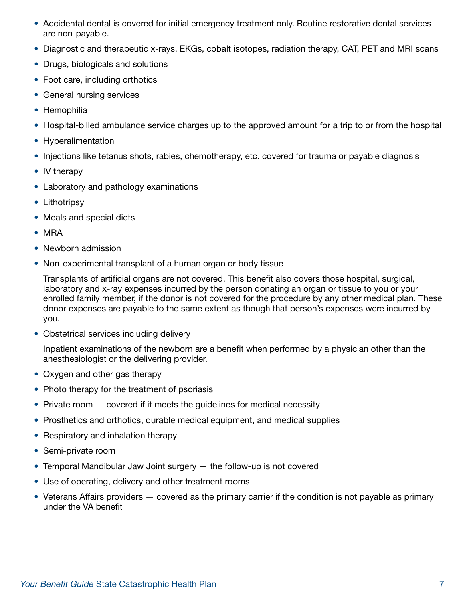- Accidental dental is covered for initial emergency treatment only. Routine restorative dental services are non-payable.
- Diagnostic and therapeutic x-rays, EKGs, cobalt isotopes, radiation therapy, CAT, PET and MRI scans
- Drugs, biologicals and solutions
- Foot care, including orthotics
- General nursing services
- Hemophilia
- Hospital-billed ambulance service charges up to the approved amount for a trip to or from the hospital
- Hyperalimentation
- Injections like tetanus shots, rabies, chemotherapy, etc. covered for trauma or payable diagnosis
- IV therapy
- Laboratory and pathology examinations
- Lithotripsy
- Meals and special diets
- MRA
- Newborn admission
- Non-experimental transplant of a human organ or body tissue

Transplants of artificial organs are not covered. This benefit also covers those hospital, surgical, laboratory and x-ray expenses incurred by the person donating an organ or tissue to you or your enrolled family member, if the donor is not covered for the procedure by any other medical plan. These donor expenses are payable to the same extent as though that person's expenses were incurred by you.

• Obstetrical services including delivery

Inpatient examinations of the newborn are a benefit when performed by a physician other than the anesthesiologist or the delivering provider.

- Oxygen and other gas therapy
- Photo therapy for the treatment of psoriasis
- Private room  $-$  covered if it meets the guidelines for medical necessity
- Prosthetics and orthotics, durable medical equipment, and medical supplies
- Respiratory and inhalation therapy
- Semi-private room
- Temporal Mandibular Jaw Joint surgery the follow-up is not covered
- Use of operating, delivery and other treatment rooms
- Veterans Affairs providers covered as the primary carrier if the condition is not payable as primary under the VA benefit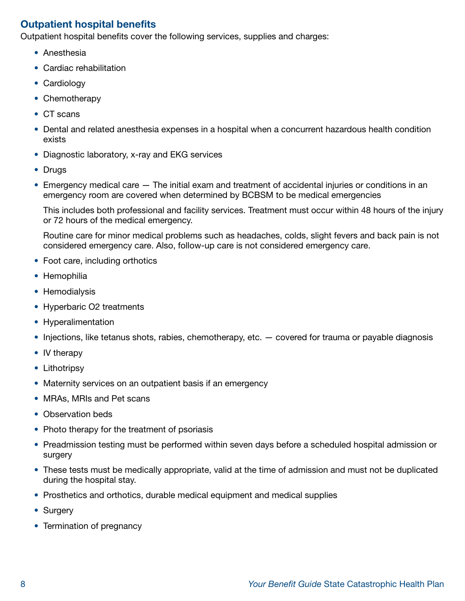### Outpatient hospital benefits

Outpatient hospital benefits cover the following services, supplies and charges:

- Anesthesia
- Cardiac rehabilitation
- Cardiology
- Chemotherapy
- CT scans
- Dental and related anesthesia expenses in a hospital when a concurrent hazardous health condition exists
- Diagnostic laboratory, x-ray and EKG services
- Drugs
- Emergency medical care The initial exam and treatment of accidental injuries or conditions in an emergency room are covered when determined by BCBSM to be medical emergencies

This includes both professional and facility services. Treatment must occur within 48 hours of the injury or 72 hours of the medical emergency.

Routine care for minor medical problems such as headaches, colds, slight fevers and back pain is not considered emergency care. Also, follow-up care is not considered emergency care.

- Foot care, including orthotics
- Hemophilia
- Hemodialysis
- Hyperbaric O2 treatments
- Hyperalimentation
- Injections, like tetanus shots, rabies, chemotherapy, etc.  $-$  covered for trauma or payable diagnosis
- IV therapy
- Lithotripsy
- Maternity services on an outpatient basis if an emergency
- MRAs, MRIs and Pet scans
- Observation beds
- Photo therapy for the treatment of psoriasis
- Preadmission testing must be performed within seven days before a scheduled hospital admission or surgery
- These tests must be medically appropriate, valid at the time of admission and must not be duplicated during the hospital stay.
- Prosthetics and orthotics, durable medical equipment and medical supplies
- Surgery
- Termination of pregnancy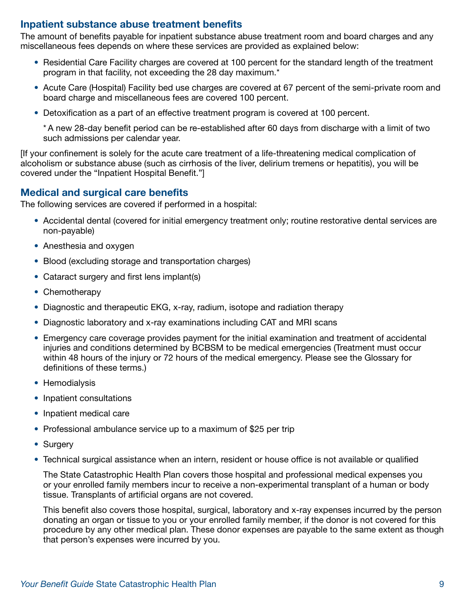#### Inpatient substance abuse treatment benefits

The amount of benefits payable for inpatient substance abuse treatment room and board charges and any miscellaneous fees depends on where these services are provided as explained below:

- Residential Care Facility charges are covered at 100 percent for the standard length of the treatment program in that facility, not exceeding the 28 day maximum.\*
- Acute Care (Hospital) Facility bed use charges are covered at 67 percent of the semi-private room and board charge and miscellaneous fees are covered 100 percent.
- Detoxification as a part of an effective treatment program is covered at 100 percent.

\* A new 28-day benefit period can be re-established after 60 days from discharge with a limit of two such admissions per calendar year.

[If your confinement is solely for the acute care treatment of a life-threatening medical complication of alcoholism or substance abuse (such as cirrhosis of the liver, delirium tremens or hepatitis), you will be covered under the "Inpatient Hospital Benefit."]

#### Medical and surgical care benefits

The following services are covered if performed in a hospital:

- Accidental dental (covered for initial emergency treatment only; routine restorative dental services are non-payable)
- Anesthesia and oxygen
- Blood (excluding storage and transportation charges)
- Cataract surgery and first lens implant(s)
- Chemotherapy
- Diagnostic and therapeutic EKG, x-ray, radium, isotope and radiation therapy
- Diagnostic laboratory and x-ray examinations including CAT and MRI scans
- Emergency care coverage provides payment for the initial examination and treatment of accidental injuries and conditions determined by BCBSM to be medical emergencies (Treatment must occur within 48 hours of the injury or 72 hours of the medical emergency. Please see the Glossary for definitions of these terms.)
- Hemodialysis
- Inpatient consultations
- Inpatient medical care
- Professional ambulance service up to a maximum of \$25 per trip
- Surgery
- Technical surgical assistance when an intern, resident or house office is not available or qualified

The State Catastrophic Health Plan covers those hospital and professional medical expenses you or your enrolled family members incur to receive a non-experimental transplant of a human or body tissue. Transplants of artificial organs are not covered.

This benefit also covers those hospital, surgical, laboratory and x-ray expenses incurred by the person donating an organ or tissue to you or your enrolled family member, if the donor is not covered for this procedure by any other medical plan. These donor expenses are payable to the same extent as though that person's expenses were incurred by you.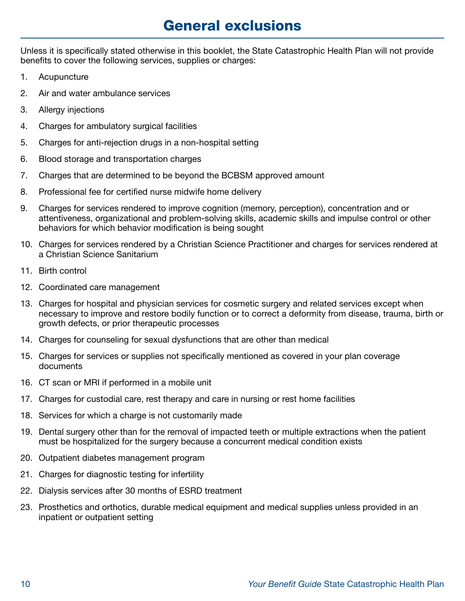## General exclusions

Unless it is specifically stated otherwise in this booklet, the State Catastrophic Health Plan will not provide benefits to cover the following services, supplies or charges:

- 1. Acupuncture
- 2. Air and water ambulance services
- 3. Allergy injections
- 4. Charges for ambulatory surgical facilities
- 5. Charges for anti-rejection drugs in a non-hospital setting
- 6. Blood storage and transportation charges
- 7. Charges that are determined to be beyond the BCBSM approved amount
- 8. Professional fee for certified nurse midwife home delivery
- 9. Charges for services rendered to improve cognition (memory, perception), concentration and or attentiveness, organizational and problem-solving skills, academic skills and impulse control or other behaviors for which behavior modification is being sought
- 10. Charges for services rendered by a Christian Science Practitioner and charges for services rendered at a Christian Science Sanitarium
- 11. Birth control
- 12. Coordinated care management
- 13. Charges for hospital and physician services for cosmetic surgery and related services except when necessary to improve and restore bodily function or to correct a deformity from disease, trauma, birth or growth defects, or prior therapeutic processes
- 14. Charges for counseling for sexual dysfunctions that are other than medical
- 15. Charges for services or supplies not specifically mentioned as covered in your plan coverage documents
- 16. CT scan or MRI if performed in a mobile unit
- 17. Charges for custodial care, rest therapy and care in nursing or rest home facilities
- 18. Services for which a charge is not customarily made
- 19. Dental surgery other than for the removal of impacted teeth or multiple extractions when the patient must be hospitalized for the surgery because a concurrent medical condition exists
- 20. Outpatient diabetes management program
- 21. Charges for diagnostic testing for infertility
- 22. Dialysis services after 30 months of ESRD treatment
- 23. Prosthetics and orthotics, durable medical equipment and medical supplies unless provided in an inpatient or outpatient setting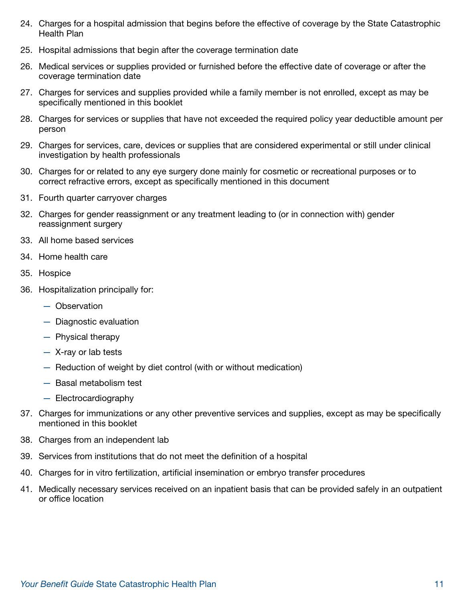- 24. Charges for a hospital admission that begins before the effective of coverage by the State Catastrophic Health Plan
- 25. Hospital admissions that begin after the coverage termination date
- 26. Medical services or supplies provided or furnished before the effective date of coverage or after the coverage termination date
- 27. Charges for services and supplies provided while a family member is not enrolled, except as may be specifically mentioned in this booklet
- 28. Charges for services or supplies that have not exceeded the required policy year deductible amount per person
- 29. Charges for services, care, devices or supplies that are considered experimental or still under clinical investigation by health professionals
- 30. Charges for or related to any eye surgery done mainly for cosmetic or recreational purposes or to correct refractive errors, except as specifically mentioned in this document
- 31. Fourth quarter carryover charges
- 32. Charges for gender reassignment or any treatment leading to (or in connection with) gender reassignment surgery
- 33. All home based services
- 34. Home health care
- 35. Hospice
- 36. Hospitalization principally for:
	- Observation
	- Diagnostic evaluation
	- Physical therapy
	- X-ray or lab tests
	- Reduction of weight by diet control (with or without medication)
	- Basal metabolism test
	- Electrocardiography
- 37. Charges for immunizations or any other preventive services and supplies, except as may be specifically mentioned in this booklet
- 38. Charges from an independent lab
- 39. Services from institutions that do not meet the definition of a hospital
- 40. Charges for in vitro fertilization, artificial insemination or embryo transfer procedures
- 41. Medically necessary services received on an inpatient basis that can be provided safely in an outpatient or office location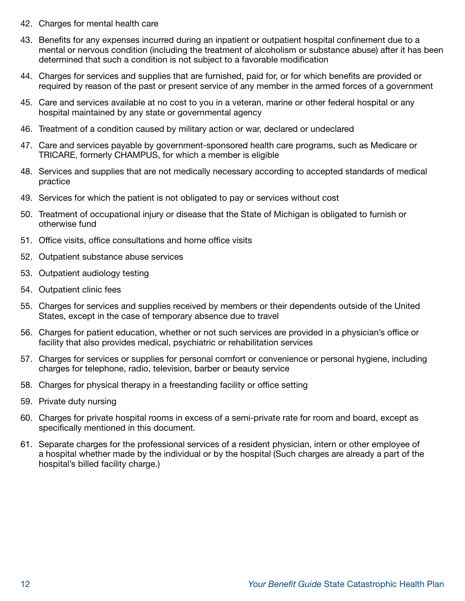- 42. Charges for mental health care
- 43. Benefits for any expenses incurred during an inpatient or outpatient hospital confinement due to a mental or nervous condition (including the treatment of alcoholism or substance abuse) after it has been determined that such a condition is not subject to a favorable modification
- 44. Charges for services and supplies that are furnished, paid for, or for which benefits are provided or required by reason of the past or present service of any member in the armed forces of a government
- 45. Care and services available at no cost to you in a veteran, marine or other federal hospital or any hospital maintained by any state or governmental agency
- 46. Treatment of a condition caused by military action or war, declared or undeclared
- 47. Care and services payable by government-sponsored health care programs, such as Medicare or TRICARE, formerly CHAMPUS, for which a member is eligible
- 48. Services and supplies that are not medically necessary according to accepted standards of medical practice
- 49. Services for which the patient is not obligated to pay or services without cost
- 50. Treatment of occupational injury or disease that the State of Michigan is obligated to furnish or otherwise fund
- 51. Office visits, office consultations and home office visits
- 52. Outpatient substance abuse services
- 53. Outpatient audiology testing
- 54. Outpatient clinic fees
- 55. Charges for services and supplies received by members or their dependents outside of the United States, except in the case of temporary absence due to travel
- 56. Charges for patient education, whether or not such services are provided in a physician's office or facility that also provides medical, psychiatric or rehabilitation services
- 57. Charges for services or supplies for personal comfort or convenience or personal hygiene, including charges for telephone, radio, television, barber or beauty service
- 58. Charges for physical therapy in a freestanding facility or office setting
- 59. Private duty nursing
- 60. Charges for private hospital rooms in excess of a semi-private rate for room and board, except as specifically mentioned in this document.
- 61. Separate charges for the professional services of a resident physician, intern or other employee of a hospital whether made by the individual or by the hospital (Such charges are already a part of the hospital's billed facility charge.)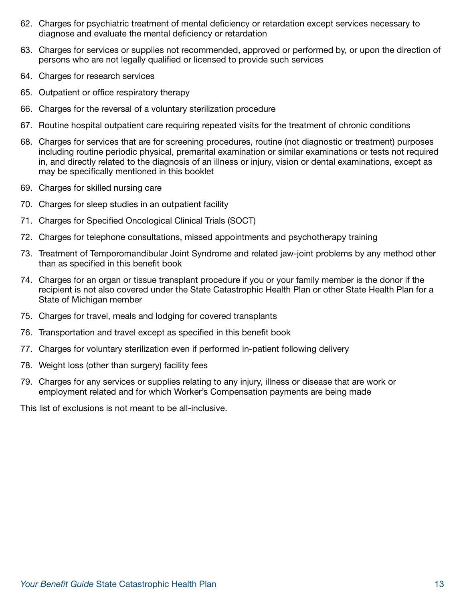- 62. Charges for psychiatric treatment of mental deficiency or retardation except services necessary to diagnose and evaluate the mental deficiency or retardation
- 63. Charges for services or supplies not recommended, approved or performed by, or upon the direction of persons who are not legally qualified or licensed to provide such services
- 64. Charges for research services
- 65. Outpatient or office respiratory therapy
- 66. Charges for the reversal of a voluntary sterilization procedure
- 67. Routine hospital outpatient care requiring repeated visits for the treatment of chronic conditions
- 68. Charges for services that are for screening procedures, routine (not diagnostic or treatment) purposes including routine periodic physical, premarital examination or similar examinations or tests not required in, and directly related to the diagnosis of an illness or injury, vision or dental examinations, except as may be specifically mentioned in this booklet
- 69. Charges for skilled nursing care
- 70. Charges for sleep studies in an outpatient facility
- 71. Charges for Specified Oncological Clinical Trials (SOCT)
- 72. Charges for telephone consultations, missed appointments and psychotherapy training
- 73. Treatment of Temporomandibular Joint Syndrome and related jaw-joint problems by any method other than as specified in this benefit book
- 74. Charges for an organ or tissue transplant procedure if you or your family member is the donor if the recipient is not also covered under the State Catastrophic Health Plan or other State Health Plan for a State of Michigan member
- 75. Charges for travel, meals and lodging for covered transplants
- 76. Transportation and travel except as specified in this benefit book
- 77. Charges for voluntary sterilization even if performed in-patient following delivery
- 78. Weight loss (other than surgery) facility fees
- 79. Charges for any services or supplies relating to any injury, illness or disease that are work or employment related and for which Worker's Compensation payments are being made

This list of exclusions is not meant to be all-inclusive.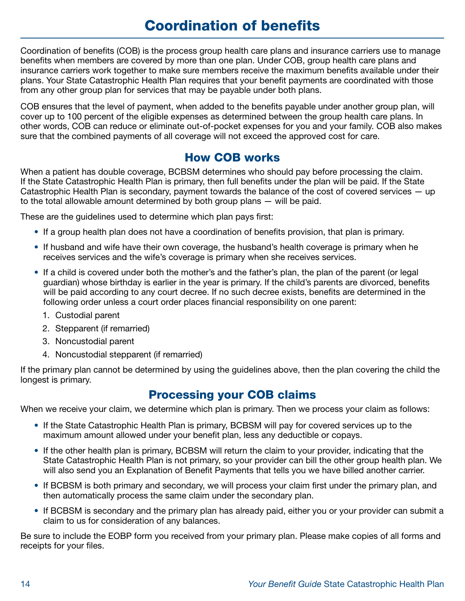## Coordination of benefits

Coordination of benefits (COB) is the process group health care plans and insurance carriers use to manage benefits when members are covered by more than one plan. Under COB, group health care plans and insurance carriers work together to make sure members receive the maximum benefits available under their plans. Your State Catastrophic Health Plan requires that your benefit payments are coordinated with those from any other group plan for services that may be payable under both plans.

COB ensures that the level of payment, when added to the benefits payable under another group plan, will cover up to 100 percent of the eligible expenses as determined between the group health care plans. In other words, COB can reduce or eliminate out-of-pocket expenses for you and your family. COB also makes sure that the combined payments of all coverage will not exceed the approved cost for care.

## How COB works

When a patient has double coverage, BCBSM determines who should pay before processing the claim. If the State Catastrophic Health Plan is primary, then full benefits under the plan will be paid. If the State Catastrophic Health Plan is secondary, payment towards the balance of the cost of covered services — up to the total allowable amount determined by both group plans — will be paid.

These are the guidelines used to determine which plan pays first:

- If a group health plan does not have a coordination of benefits provision, that plan is primary.
- If husband and wife have their own coverage, the husband's health coverage is primary when he receives services and the wife's coverage is primary when she receives services.
- If a child is covered under both the mother's and the father's plan, the plan of the parent (or legal guardian) whose birthday is earlier in the year is primary. If the child's parents are divorced, benefits will be paid according to any court decree. If no such decree exists, benefits are determined in the following order unless a court order places financial responsibility on one parent:
	- 1. Custodial parent
	- 2. Stepparent (if remarried)
	- 3. Noncustodial parent
	- 4. Noncustodial stepparent (if remarried)

If the primary plan cannot be determined by using the guidelines above, then the plan covering the child the longest is primary.

### Processing your COB claims

When we receive your claim, we determine which plan is primary. Then we process your claim as follows:

- If the State Catastrophic Health Plan is primary, BCBSM will pay for covered services up to the maximum amount allowed under your benefit plan, less any deductible or copays.
- If the other health plan is primary, BCBSM will return the claim to your provider, indicating that the State Catastrophic Health Plan is not primary, so your provider can bill the other group health plan. We will also send you an Explanation of Benefit Payments that tells you we have billed another carrier.
- If BCBSM is both primary and secondary, we will process your claim first under the primary plan, and then automatically process the same claim under the secondary plan.
- If BCBSM is secondary and the primary plan has already paid, either you or your provider can submit a claim to us for consideration of any balances.

Be sure to include the EOBP form you received from your primary plan. Please make copies of all forms and receipts for your files.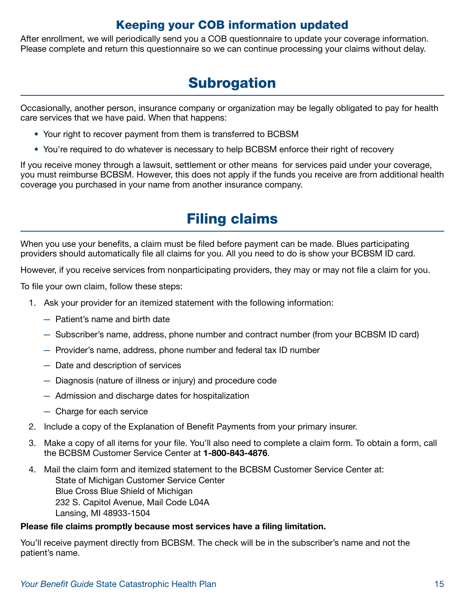## Keeping your COB information updated

After enrollment, we will periodically send you a COB questionnaire to update your coverage information. Please complete and return this questionnaire so we can continue processing your claims without delay.

## **Subrogation**

Occasionally, another person, insurance company or organization may be legally obligated to pay for health care services that we have paid. When that happens:

- Your right to recover payment from them is transferred to BCBSM
- You're required to do whatever is necessary to help BCBSM enforce their right of recovery

If you receive money through a lawsuit, settlement or other means for services paid under your coverage, you must reimburse BCBSM. However, this does not apply if the funds you receive are from additional health coverage you purchased in your name from another insurance company.

## Filing claims

When you use your benefits, a claim must be filed before payment can be made. Blues participating providers should automatically file all claims for you. All you need to do is show your BCBSM ID card.

However, if you receive services from nonparticipating providers, they may or may not file a claim for you.

To file your own claim, follow these steps:

- 1. Ask your provider for an itemized statement with the following information:
	- Patient's name and birth date
	- Subscriber's name, address, phone number and contract number (from your BCBSM ID card)
	- Provider's name, address, phone number and federal tax ID number
	- Date and description of services
	- Diagnosis (nature of illness or injury) and procedure code
	- Admission and discharge dates for hospitalization
	- Charge for each service
- 2. Include a copy of the Explanation of Benefit Payments from your primary insurer.
- 3. Make a copy of all items for your file. You'll also need to complete a claim form. To obtain a form, call the BCBSM Customer Service Center at 1-800-843-4876.
- 4. Mail the claim form and itemized statement to the BCBSM Customer Service Center at: State of Michigan Customer Service Center Blue Cross Blue Shield of Michigan 232 S. Capitol Avenue, Mail Code L04A Lansing, MI 48933-1504

#### Please file claims promptly because most services have a filing limitation.

You'll receive payment directly from BCBSM. The check will be in the subscriber's name and not the patient's name.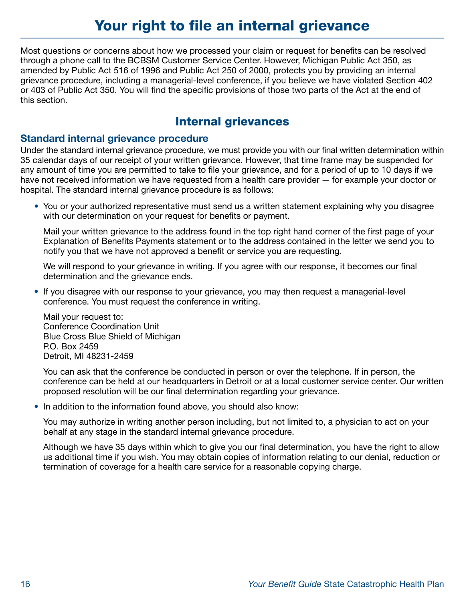## Your right to file an internal grievance

Most questions or concerns about how we processed your claim or request for benefits can be resolved through a phone call to the BCBSM Customer Service Center. However, Michigan Public Act 350, as amended by Public Act 516 of 1996 and Public Act 250 of 2000, protects you by providing an internal grievance procedure, including a managerial-level conference, if you believe we have violated Section 402 or 403 of Public Act 350. You will find the specific provisions of those two parts of the Act at the end of this section.

## Internal grievances

#### Standard internal grievance procedure

Under the standard internal grievance procedure, we must provide you with our final written determination within 35 calendar days of our receipt of your written grievance. However, that time frame may be suspended for any amount of time you are permitted to take to file your grievance, and for a period of up to 10 days if we have not received information we have requested from a health care provider — for example your doctor or hospital. The standard internal grievance procedure is as follows:

• You or your authorized representative must send us a written statement explaining why you disagree with our determination on your request for benefits or payment.

Mail your written grievance to the address found in the top right hand corner of the first page of your Explanation of Benefits Payments statement or to the address contained in the letter we send you to notify you that we have not approved a benefit or service you are requesting.

We will respond to your grievance in writing. If you agree with our response, it becomes our final determination and the grievance ends.

• If you disagree with our response to your grievance, you may then request a managerial-level conference. You must request the conference in writing.

Mail your request to: Conference Coordination Unit Blue Cross Blue Shield of Michigan P.O. Box 2459 Detroit, MI 48231-2459

You can ask that the conference be conducted in person or over the telephone. If in person, the conference can be held at our headquarters in Detroit or at a local customer service center. Our written proposed resolution will be our final determination regarding your grievance.

• In addition to the information found above, you should also know:

You may authorize in writing another person including, but not limited to, a physician to act on your behalf at any stage in the standard internal grievance procedure.

Although we have 35 days within which to give you our final determination, you have the right to allow us additional time if you wish. You may obtain copies of information relating to our denial, reduction or termination of coverage for a health care service for a reasonable copying charge.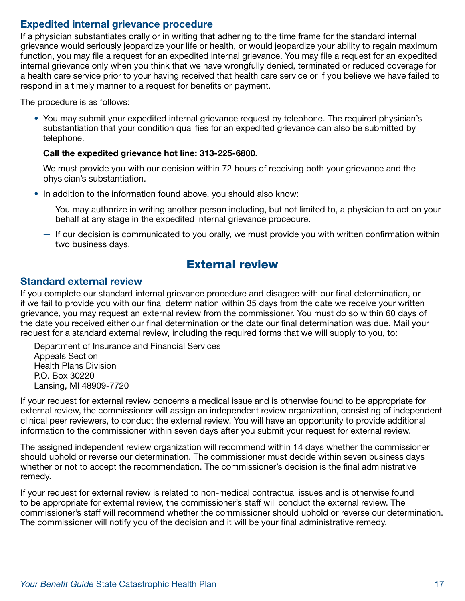### Expedited internal grievance procedure

If a physician substantiates orally or in writing that adhering to the time frame for the standard internal grievance would seriously jeopardize your life or health, or would jeopardize your ability to regain maximum function, you may file a request for an expedited internal grievance. You may file a request for an expedited internal grievance only when you think that we have wrongfully denied, terminated or reduced coverage for a health care service prior to your having received that health care service or if you believe we have failed to respond in a timely manner to a request for benefits or payment.

The procedure is as follows:

• You may submit your expedited internal grievance request by telephone. The required physician's substantiation that your condition qualifies for an expedited grievance can also be submitted by telephone.

#### Call the expedited grievance hot line: 313-225-6800.

We must provide you with our decision within 72 hours of receiving both your grievance and the physician's substantiation.

- In addition to the information found above, you should also know:
	- You may authorize in writing another person including, but not limited to, a physician to act on your behalf at any stage in the expedited internal grievance procedure.
	- If our decision is communicated to you orally, we must provide you with written confirmation within two business days.

### External review

#### Standard external review

If you complete our standard internal grievance procedure and disagree with our final determination, or if we fail to provide you with our final determination within 35 days from the date we receive your written grievance, you may request an external review from the commissioner. You must do so within 60 days of the date you received either our final determination or the date our final determination was due. Mail your request for a standard external review, including the required forms that we will supply to you, to:

Department of Insurance and Financial Services Appeals Section Health Plans Division P.O. Box 30220 Lansing, MI 48909-7720

If your request for external review concerns a medical issue and is otherwise found to be appropriate for external review, the commissioner will assign an independent review organization, consisting of independent clinical peer reviewers, to conduct the external review. You will have an opportunity to provide additional information to the commissioner within seven days after you submit your request for external review.

The assigned independent review organization will recommend within 14 days whether the commissioner should uphold or reverse our determination. The commissioner must decide within seven business days whether or not to accept the recommendation. The commissioner's decision is the final administrative remedy.

If your request for external review is related to non-medical contractual issues and is otherwise found to be appropriate for external review, the commissioner's staff will conduct the external review. The commissioner's staff will recommend whether the commissioner should uphold or reverse our determination. The commissioner will notify you of the decision and it will be your final administrative remedy.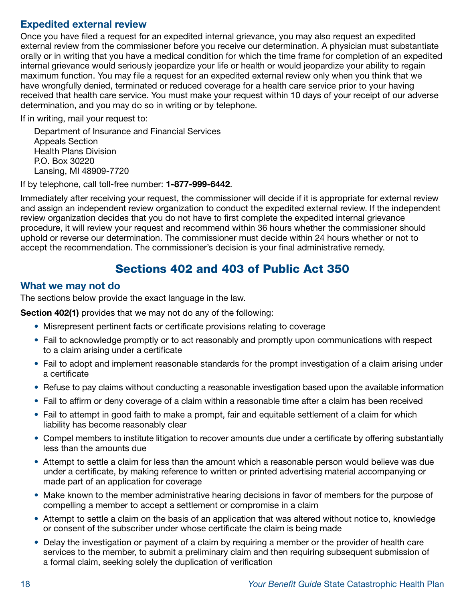### Expedited external review

Once you have filed a request for an expedited internal grievance, you may also request an expedited external review from the commissioner before you receive our determination. A physician must substantiate orally or in writing that you have a medical condition for which the time frame for completion of an expedited internal grievance would seriously jeopardize your life or health or would jeopardize your ability to regain maximum function. You may file a request for an expedited external review only when you think that we have wrongfully denied, terminated or reduced coverage for a health care service prior to your having received that health care service. You must make your request within 10 days of your receipt of our adverse determination, and you may do so in writing or by telephone.

If in writing, mail your request to:

Department of Insurance and Financial Services Appeals Section Health Plans Division P.O. Box 30220 Lansing, MI 48909-7720

If by telephone, call toll-free number: 1-877-999-6442.

Immediately after receiving your request, the commissioner will decide if it is appropriate for external review and assign an independent review organization to conduct the expedited external review. If the independent review organization decides that you do not have to first complete the expedited internal grievance procedure, it will review your request and recommend within 36 hours whether the commissioner should uphold or reverse our determination. The commissioner must decide within 24 hours whether or not to accept the recommendation. The commissioner's decision is your final administrative remedy.

## Sections 402 and 403 of Public Act 350

#### What we may not do

The sections below provide the exact language in the law.

Section 402(1) provides that we may not do any of the following:

- Misrepresent pertinent facts or certificate provisions relating to coverage
- Fail to acknowledge promptly or to act reasonably and promptly upon communications with respect to a claim arising under a certificate
- Fail to adopt and implement reasonable standards for the prompt investigation of a claim arising under a certificate
- Refuse to pay claims without conducting a reasonable investigation based upon the available information
- Fail to affirm or deny coverage of a claim within a reasonable time after a claim has been received
- Fail to attempt in good faith to make a prompt, fair and equitable settlement of a claim for which liability has become reasonably clear
- Compel members to institute litigation to recover amounts due under a certificate by offering substantially less than the amounts due
- Attempt to settle a claim for less than the amount which a reasonable person would believe was due under a certificate, by making reference to written or printed advertising material accompanying or made part of an application for coverage
- Make known to the member administrative hearing decisions in favor of members for the purpose of compelling a member to accept a settlement or compromise in a claim
- Attempt to settle a claim on the basis of an application that was altered without notice to, knowledge or consent of the subscriber under whose certificate the claim is being made
- Delay the investigation or payment of a claim by requiring a member or the provider of health care services to the member, to submit a preliminary claim and then requiring subsequent submission of a formal claim, seeking solely the duplication of verification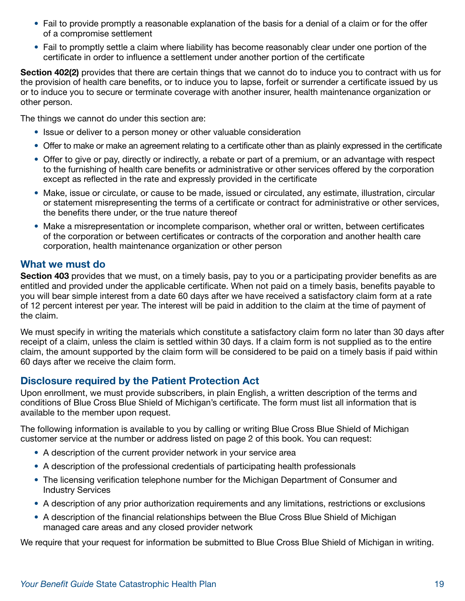- Fail to provide promptly a reasonable explanation of the basis for a denial of a claim or for the offer of a compromise settlement
- Fail to promptly settle a claim where liability has become reasonably clear under one portion of the certificate in order to influence a settlement under another portion of the certificate

Section 402(2) provides that there are certain things that we cannot do to induce you to contract with us for the provision of health care benefits, or to induce you to lapse, forfeit or surrender a certificate issued by us or to induce you to secure or terminate coverage with another insurer, health maintenance organization or other person.

The things we cannot do under this section are:

- Issue or deliver to a person money or other valuable consideration
- Offer to make or make an agreement relating to a certificate other than as plainly expressed in the certificate
- Offer to give or pay, directly or indirectly, a rebate or part of a premium, or an advantage with respect to the furnishing of health care benefits or administrative or other services offered by the corporation except as reflected in the rate and expressly provided in the certificate
- Make, issue or circulate, or cause to be made, issued or circulated, any estimate, illustration, circular or statement misrepresenting the terms of a certificate or contract for administrative or other services, the benefits there under, or the true nature thereof
- Make a misrepresentation or incomplete comparison, whether oral or written, between certificates of the corporation or between certificates or contracts of the corporation and another health care corporation, health maintenance organization or other person

#### What we must do

Section 403 provides that we must, on a timely basis, pay to you or a participating provider benefits as are entitled and provided under the applicable certificate. When not paid on a timely basis, benefits payable to you will bear simple interest from a date 60 days after we have received a satisfactory claim form at a rate of 12 percent interest per year. The interest will be paid in addition to the claim at the time of payment of the claim.

We must specify in writing the materials which constitute a satisfactory claim form no later than 30 days after receipt of a claim, unless the claim is settled within 30 days. If a claim form is not supplied as to the entire claim, the amount supported by the claim form will be considered to be paid on a timely basis if paid within 60 days after we receive the claim form.

#### Disclosure required by the Patient Protection Act

Upon enrollment, we must provide subscribers, in plain English, a written description of the terms and conditions of Blue Cross Blue Shield of Michigan's certificate. The form must list all information that is available to the member upon request.

The following information is available to you by calling or writing Blue Cross Blue Shield of Michigan customer service at the number or address listed on page 2 of this book. You can request:

- A description of the current provider network in your service area
- A description of the professional credentials of participating health professionals
- The licensing verification telephone number for the Michigan Department of Consumer and Industry Services
- A description of any prior authorization requirements and any limitations, restrictions or exclusions
- A description of the financial relationships between the Blue Cross Blue Shield of Michigan managed care areas and any closed provider network

We require that your request for information be submitted to Blue Cross Blue Shield of Michigan in writing.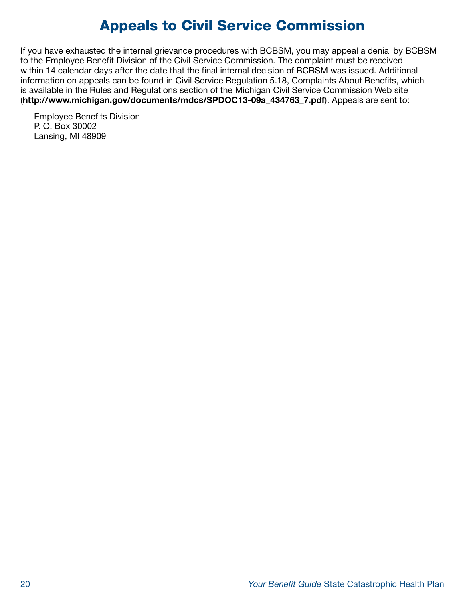## Appeals to Civil Service Commission

If you have exhausted the internal grievance procedures with BCBSM, you may appeal a denial by BCBSM to the Employee Benefit Division of the Civil Service Commission. The complaint must be received within 14 calendar days after the date that the final internal decision of BCBSM was issued. Additional information on appeals can be found in Civil Service Regulation 5.18, Complaints About Benefits, which is available in the Rules and Regulations section of the Michigan Civil Service Commission Web site ([http://www.michigan.gov/documents/mdcs/SPDOC13-09a\\_434763\\_7.pdf](http://www.michigan.gov/documents/mdcs/SPDOC13-09a_434763_7.pdf)). Appeals are sent to:

Employee Benefits Division P. O. Box 30002 Lansing, MI 48909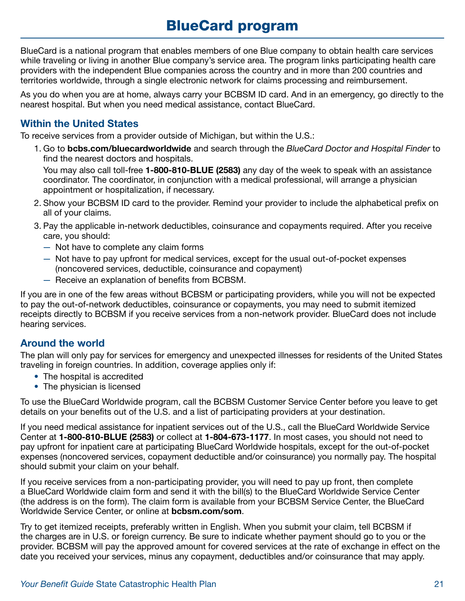## BlueCard program

BlueCard is a national program that enables members of one Blue company to obtain health care services while traveling or living in another Blue company's service area. The program links participating health care providers with the independent Blue companies across the country and in more than 200 countries and territories worldwide, through a single electronic network for claims processing and reimbursement.

As you do when you are at home, always carry your BCBSM ID card. And in an emergency, go directly to the nearest hospital. But when you need medical assistance, contact BlueCard.

### Within the United States

To receive services from a provider outside of Michigan, but within the U.S.:

1. Go to [bcbs.com/bluecardworldwide](https://bcbs.com/bluecardworldwide) and search through the *BlueCard Doctor and Hospital Finder* to find the nearest doctors and hospitals. You may also call toll-free 1-800-810-BLUE (2583) any day of the week to speak with an assistance

coordinator. The coordinator, in conjunction with a medical professional, will arrange a physician appointment or hospitalization, if necessary.

- 2. Show your BCBSM ID card to the provider. Remind your provider to include the alphabetical prefix on all of your claims.
- 3. Pay the applicable in-network deductibles, coinsurance and copayments required. After you receive care, you should:
	- Not have to complete any claim forms
	- Not have to pay upfront for medical services, except for the usual out-of-pocket expenses (noncovered services, deductible, coinsurance and copayment)
	- Receive an explanation of benefits from BCBSM.

If you are in one of the few areas without BCBSM or participating providers, while you will not be expected to pay the out-of-network deductibles, coinsurance or copayments, you may need to submit itemized receipts directly to BCBSM if you receive services from a non-network provider. BlueCard does not include hearing services.

### Around the world

The plan will only pay for services for emergency and unexpected illnesses for residents of the United States traveling in foreign countries. In addition, coverage applies only if:

- The hospital is accredited
- The physician is licensed

To use the BlueCard Worldwide program, call the BCBSM Customer Service Center before you leave to get details on your benefits out of the U.S. and a list of participating providers at your destination.

If you need medical assistance for inpatient services out of the U.S., call the BlueCard Worldwide Service Center at 1-800-810-BLUE (2583) or collect at 1-804-673-1177. In most cases, you should not need to pay upfront for inpatient care at participating BlueCard Worldwide hospitals, except for the out-of-pocket expenses (noncovered services, copayment deductible and/or coinsurance) you normally pay. The hospital should submit your claim on your behalf.

If you receive services from a non-participating provider, you will need to pay up front, then complete a BlueCard Worldwide claim form and send it with the bill(s) to the BlueCard Worldwide Service Center (the address is on the form). The claim form is available from your BCBSM Service Center, the BlueCard Worldwide Service Center, or online at [bcbsm.com/som](https://bcbsm.com/som).

Try to get itemized receipts, preferably written in English. When you submit your claim, tell BCBSM if the charges are in U.S. or foreign currency. Be sure to indicate whether payment should go to you or the provider. BCBSM will pay the approved amount for covered services at the rate of exchange in effect on the date you received your services, minus any copayment, deductibles and/or coinsurance that may apply.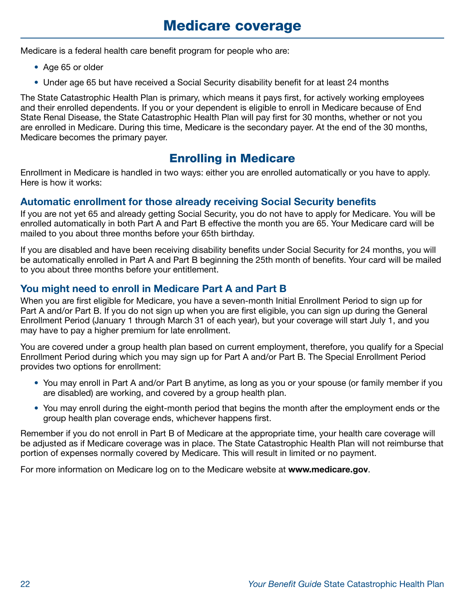Medicare is a federal health care benefit program for people who are:

- Age 65 or older
- Under age 65 but have received a Social Security disability benefit for at least 24 months

The State Catastrophic Health Plan is primary, which means it pays first, for actively working employees and their enrolled dependents. If you or your dependent is eligible to enroll in Medicare because of End State Renal Disease, the State Catastrophic Health Plan will pay first for 30 months, whether or not you are enrolled in Medicare. During this time, Medicare is the secondary payer. At the end of the 30 months, Medicare becomes the primary payer.

## Enrolling in Medicare

Enrollment in Medicare is handled in two ways: either you are enrolled automatically or you have to apply. Here is how it works:

### Automatic enrollment for those already receiving Social Security benefits

If you are not yet 65 and already getting Social Security, you do not have to apply for Medicare. You will be enrolled automatically in both Part A and Part B effective the month you are 65. Your Medicare card will be mailed to you about three months before your 65th birthday.

If you are disabled and have been receiving disability benefits under Social Security for 24 months, you will be automatically enrolled in Part A and Part B beginning the 25th month of benefits. Your card will be mailed to you about three months before your entitlement.

### You might need to enroll in Medicare Part A and Part B

When you are first eligible for Medicare, you have a seven-month Initial Enrollment Period to sign up for Part A and/or Part B. If you do not sign up when you are first eligible, you can sign up during the General Enrollment Period (January 1 through March 31 of each year), but your coverage will start July 1, and you may have to pay a higher premium for late enrollment.

You are covered under a group health plan based on current employment, therefore, you qualify for a Special Enrollment Period during which you may sign up for Part A and/or Part B. The Special Enrollment Period provides two options for enrollment:

- You may enroll in Part A and/or Part B anytime, as long as you or your spouse (or family member if you are disabled) are working, and covered by a group health plan.
- You may enroll during the eight-month period that begins the month after the employment ends or the group health plan coverage ends, whichever happens first.

Remember if you do not enroll in Part B of Medicare at the appropriate time, your health care coverage will be adjusted as if Medicare coverage was in place. The State Catastrophic Health Plan will not reimburse that portion of expenses normally covered by Medicare. This will result in limited or no payment.

For more information on Medicare log on to the Medicare website at <www.medicare.gov>.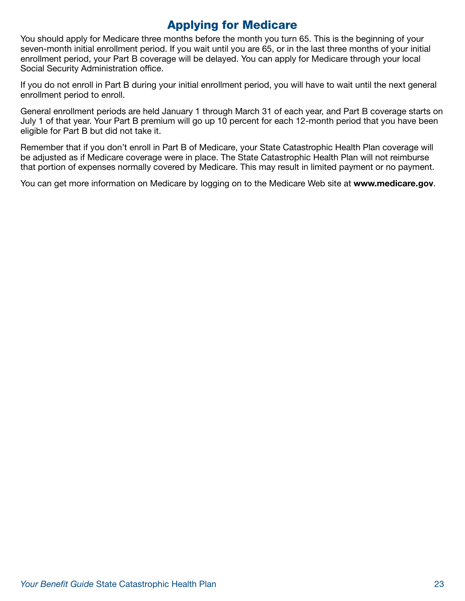## Applying for Medicare

You should apply for Medicare three months before the month you turn 65. This is the beginning of your seven-month initial enrollment period. If you wait until you are 65, or in the last three months of your initial enrollment period, your Part B coverage will be delayed. You can apply for Medicare through your local Social Security Administration office.

If you do not enroll in Part B during your initial enrollment period, you will have to wait until the next general enrollment period to enroll.

General enrollment periods are held January 1 through March 31 of each year, and Part B coverage starts on July 1 of that year. Your Part B premium will go up 10 percent for each 12-month period that you have been eligible for Part B but did not take it.

Remember that if you don't enroll in Part B of Medicare, your State Catastrophic Health Plan coverage will be adjusted as if Medicare coverage were in place. The State Catastrophic Health Plan will not reimburse that portion of expenses normally covered by Medicare. This may result in limited payment or no payment.

You can get more information on Medicare by logging on to the Medicare Web site at <www.medicare.gov>.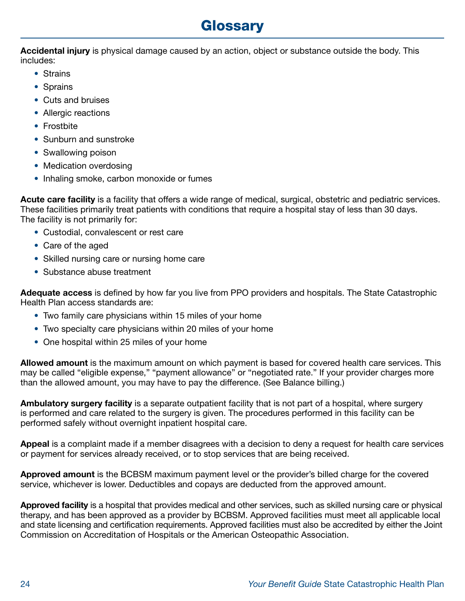## **Glossary**

Accidental injury is physical damage caused by an action, object or substance outside the body. This includes:

- Strains
- Sprains
- Cuts and bruises
- Allergic reactions
- Frostbite
- Sunburn and sunstroke
- Swallowing poison
- Medication overdosing
- Inhaling smoke, carbon monoxide or fumes

Acute care facility is a facility that offers a wide range of medical, surgical, obstetric and pediatric services. These facilities primarily treat patients with conditions that require a hospital stay of less than 30 days. The facility is not primarily for:

- Custodial, convalescent or rest care
- Care of the aged
- Skilled nursing care or nursing home care
- Substance abuse treatment

Adequate access is defined by how far you live from PPO providers and hospitals. The State Catastrophic Health Plan access standards are:

- Two family care physicians within 15 miles of your home
- Two specialty care physicians within 20 miles of your home
- One hospital within 25 miles of your home

Allowed amount is the maximum amount on which payment is based for covered health care services. This may be called "eligible expense," "payment allowance" or "negotiated rate." If your provider charges more than the allowed amount, you may have to pay the difference. (See Balance billing.)

Ambulatory surgery facility is a separate outpatient facility that is not part of a hospital, where surgery is performed and care related to the surgery is given. The procedures performed in this facility can be performed safely without overnight inpatient hospital care.

Appeal is a complaint made if a member disagrees with a decision to deny a request for health care services or payment for services already received, or to stop services that are being received.

Approved amount is the BCBSM maximum payment level or the provider's billed charge for the covered service, whichever is lower. Deductibles and copays are deducted from the approved amount.

Approved facility is a hospital that provides medical and other services, such as skilled nursing care or physical therapy, and has been approved as a provider by BCBSM. Approved facilities must meet all applicable local and state licensing and certification requirements. Approved facilities must also be accredited by either the Joint Commission on Accreditation of Hospitals or the American Osteopathic Association.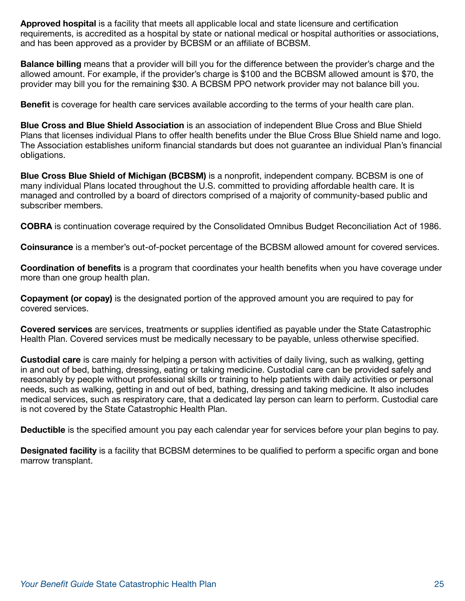Approved hospital is a facility that meets all applicable local and state licensure and certification requirements, is accredited as a hospital by state or national medical or hospital authorities or associations, and has been approved as a provider by BCBSM or an affiliate of BCBSM.

Balance billing means that a provider will bill you for the difference between the provider's charge and the allowed amount. For example, if the provider's charge is \$100 and the BCBSM allowed amount is \$70, the provider may bill you for the remaining \$30. A BCBSM PPO network provider may not balance bill you.

Benefit is coverage for health care services available according to the terms of your health care plan.

Blue Cross and Blue Shield Association is an association of independent Blue Cross and Blue Shield Plans that licenses individual Plans to offer health benefits under the Blue Cross Blue Shield name and logo. The Association establishes uniform financial standards but does not guarantee an individual Plan's financial obligations.

Blue Cross Blue Shield of Michigan (BCBSM) is a nonprofit, independent company. BCBSM is one of many individual Plans located throughout the U.S. committed to providing affordable health care. It is managed and controlled by a board of directors comprised of a majority of community-based public and subscriber members.

COBRA is continuation coverage required by the Consolidated Omnibus Budget Reconciliation Act of 1986.

Coinsurance is a member's out-of-pocket percentage of the BCBSM allowed amount for covered services.

Coordination of benefits is a program that coordinates your health benefits when you have coverage under more than one group health plan.

Copayment (or copay) is the designated portion of the approved amount you are required to pay for covered services.

Covered services are services, treatments or supplies identified as payable under the State Catastrophic Health Plan. Covered services must be medically necessary to be payable, unless otherwise specified.

Custodial care is care mainly for helping a person with activities of daily living, such as walking, getting in and out of bed, bathing, dressing, eating or taking medicine. Custodial care can be provided safely and reasonably by people without professional skills or training to help patients with daily activities or personal needs, such as walking, getting in and out of bed, bathing, dressing and taking medicine. It also includes medical services, such as respiratory care, that a dedicated lay person can learn to perform. Custodial care is not covered by the State Catastrophic Health Plan.

Deductible is the specified amount you pay each calendar year for services before your plan begins to pay.

Designated facility is a facility that BCBSM determines to be qualified to perform a specific organ and bone marrow transplant.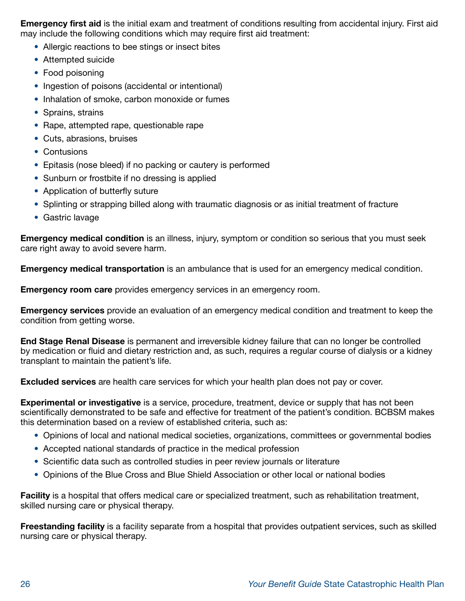Emergency first aid is the initial exam and treatment of conditions resulting from accidental injury. First aid may include the following conditions which may require first aid treatment:

- Allergic reactions to bee stings or insect bites
- Attempted suicide
- Food poisoning
- Ingestion of poisons (accidental or intentional)
- Inhalation of smoke, carbon monoxide or fumes
- Sprains, strains
- Rape, attempted rape, questionable rape
- Cuts, abrasions, bruises
- Contusions
- Epitasis (nose bleed) if no packing or cautery is performed
- Sunburn or frostbite if no dressing is applied
- Application of butterfly suture
- Splinting or strapping billed along with traumatic diagnosis or as initial treatment of fracture
- Gastric lavage

Emergency medical condition is an illness, injury, symptom or condition so serious that you must seek care right away to avoid severe harm.

Emergency medical transportation is an ambulance that is used for an emergency medical condition.

**Emergency room care** provides emergency services in an emergency room.

Emergency services provide an evaluation of an emergency medical condition and treatment to keep the condition from getting worse.

End Stage Renal Disease is permanent and irreversible kidney failure that can no longer be controlled by medication or fluid and dietary restriction and, as such, requires a regular course of dialysis or a kidney transplant to maintain the patient's life.

Excluded services are health care services for which your health plan does not pay or cover.

Experimental or investigative is a service, procedure, treatment, device or supply that has not been scientifically demonstrated to be safe and effective for treatment of the patient's condition. BCBSM makes this determination based on a review of established criteria, such as:

- Opinions of local and national medical societies, organizations, committees or governmental bodies
- Accepted national standards of practice in the medical profession
- Scientific data such as controlled studies in peer review journals or literature
- Opinions of the Blue Cross and Blue Shield Association or other local or national bodies

Facility is a hospital that offers medical care or specialized treatment, such as rehabilitation treatment, skilled nursing care or physical therapy.

Freestanding facility is a facility separate from a hospital that provides outpatient services, such as skilled nursing care or physical therapy.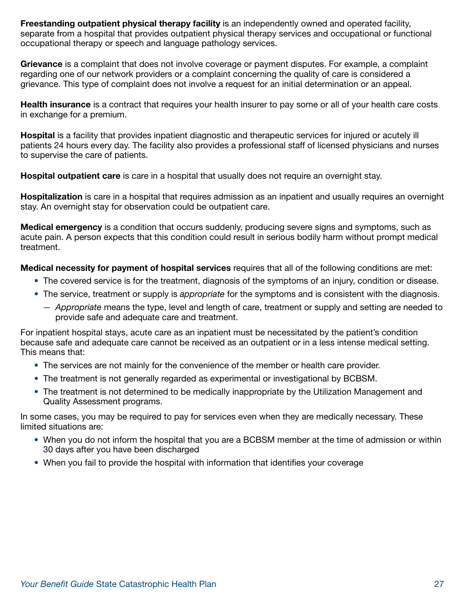Freestanding outpatient physical therapy facility is an independently owned and operated facility, separate from a hospital that provides outpatient physical therapy services and occupational or functional occupational therapy or speech and language pathology services.

Grievance is a complaint that does not involve coverage or payment disputes. For example, a complaint regarding one of our network providers or a complaint concerning the quality of care is considered a grievance. This type of complaint does not involve a request for an initial determination or an appeal.

**Health insurance** is a contract that requires your health insurer to pay some or all of your health care costs in exchange for a premium.

Hospital is a facility that provides inpatient diagnostic and therapeutic services for injured or acutely ill patients 24 hours every day. The facility also provides a professional staff of licensed physicians and nurses to supervise the care of patients.

**Hospital outpatient care** is care in a hospital that usually does not require an overnight stay.

Hospitalization is care in a hospital that requires admission as an inpatient and usually requires an overnight stay. An overnight stay for observation could be outpatient care.

Medical emergency is a condition that occurs suddenly, producing severe signs and symptoms, such as acute pain. A person expects that this condition could result in serious bodily harm without prompt medical treatment.

Medical necessity for payment of hospital services requires that all of the following conditions are met:

- The covered service is for the treatment, diagnosis of the symptoms of an injury, condition or disease.
- The service, treatment or supply is *appropriate* for the symptoms and is consistent with the diagnosis.
	- *Appropriate* means the type, level and length of care, treatment or supply and setting are needed to provide safe and adequate care and treatment.

For inpatient hospital stays, acute care as an inpatient must be necessitated by the patient's condition because safe and adequate care cannot be received as an outpatient or in a less intense medical setting. This means that:

- The services are not mainly for the convenience of the member or health care provider.
- The treatment is not generally regarded as experimental or investigational by BCBSM.
- The treatment is not determined to be medically inappropriate by the Utilization Management and Quality Assessment programs.

In some cases, you may be required to pay for services even when they are medically necessary. These limited situations are:

- When you do not inform the hospital that you are a BCBSM member at the time of admission or within 30 days after you have been discharged
- When you fail to provide the hospital with information that identifies your coverage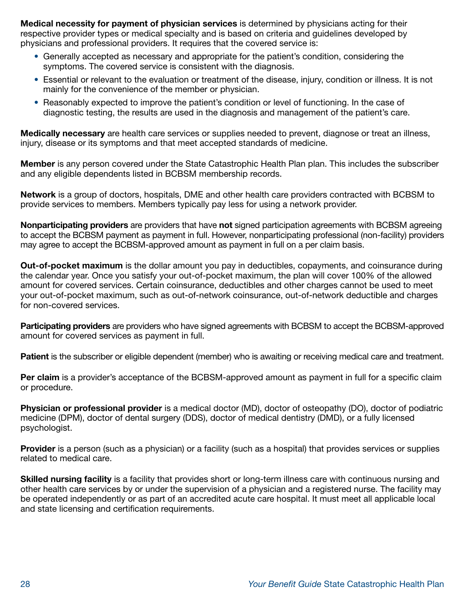Medical necessity for payment of physician services is determined by physicians acting for their respective provider types or medical specialty and is based on criteria and guidelines developed by physicians and professional providers. It requires that the covered service is:

- Generally accepted as necessary and appropriate for the patient's condition, considering the symptoms. The covered service is consistent with the diagnosis.
- Essential or relevant to the evaluation or treatment of the disease, injury, condition or illness. It is not mainly for the convenience of the member or physician.
- Reasonably expected to improve the patient's condition or level of functioning. In the case of diagnostic testing, the results are used in the diagnosis and management of the patient's care.

Medically necessary are health care services or supplies needed to prevent, diagnose or treat an illness, injury, disease or its symptoms and that meet accepted standards of medicine.

Member is any person covered under the State Catastrophic Health Plan plan. This includes the subscriber and any eligible dependents listed in BCBSM membership records.

Network is a group of doctors, hospitals, DME and other health care providers contracted with BCBSM to provide services to members. Members typically pay less for using a network provider.

Nonparticipating providers are providers that have not signed participation agreements with BCBSM agreeing to accept the BCBSM payment as payment in full. However, nonparticipating professional (non-facility) providers may agree to accept the BCBSM-approved amount as payment in full on a per claim basis.

**Out-of-pocket maximum** is the dollar amount you pay in deductibles, copayments, and coinsurance during the calendar year. Once you satisfy your out-of-pocket maximum, the plan will cover 100% of the allowed amount for covered services. Certain coinsurance, deductibles and other charges cannot be used to meet your out-of-pocket maximum, such as out-of-network coinsurance, out-of-network deductible and charges for non-covered services.

Participating providers are providers who have signed agreements with BCBSM to accept the BCBSM-approved amount for covered services as payment in full.

Patient is the subscriber or eligible dependent (member) who is awaiting or receiving medical care and treatment.

Per claim is a provider's acceptance of the BCBSM-approved amount as payment in full for a specific claim or procedure.

Physician or professional provider is a medical doctor (MD), doctor of osteopathy (DO), doctor of podiatric medicine (DPM), doctor of dental surgery (DDS), doctor of medical dentistry (DMD), or a fully licensed psychologist.

**Provider** is a person (such as a physician) or a facility (such as a hospital) that provides services or supplies related to medical care.

Skilled nursing facility is a facility that provides short or long-term illness care with continuous nursing and other health care services by or under the supervision of a physician and a registered nurse. The facility may be operated independently or as part of an accredited acute care hospital. It must meet all applicable local and state licensing and certification requirements.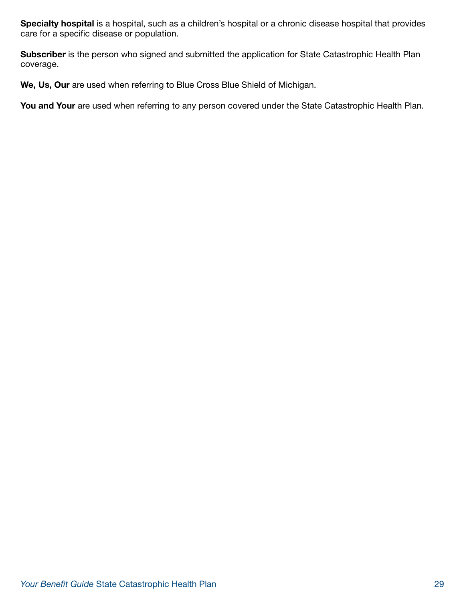Specialty hospital is a hospital, such as a children's hospital or a chronic disease hospital that provides care for a specific disease or population.

Subscriber is the person who signed and submitted the application for State Catastrophic Health Plan coverage.

We, Us, Our are used when referring to Blue Cross Blue Shield of Michigan.

You and Your are used when referring to any person covered under the State Catastrophic Health Plan.